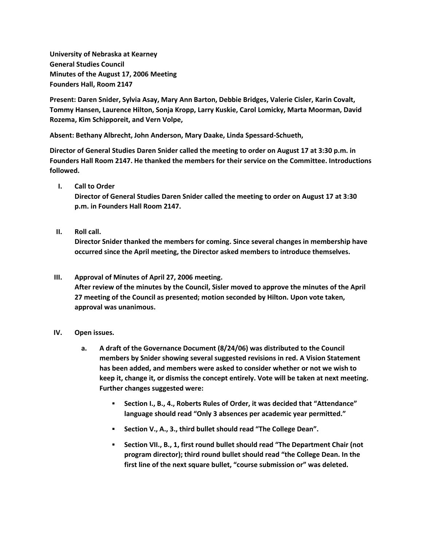**University of Nebraska at Kearney General Studies Council Minutes of the August 17, 2006 Meeting Founders Hall, Room 2147**

**Present: Daren Snider, Sylvia Asay, Mary Ann Barton, Debbie Bridges, Valerie Cisler, Karin Covalt, Tommy Hansen, Laurence Hilton, Sonja Kropp, Larry Kuskie, Carol Lomicky, Marta Moorman, David Rozema, Kim Schipporeit, and Vern Volpe,**

**Absent: Bethany Albrecht, John Anderson, Mary Daake, Linda Spessard-Schueth,**

**Director of General Studies Daren Snider called the meeting to order on August 17 at 3:30 p.m. in Founders Hall Room 2147. He thanked the members for their service on the Committee. Introductions followed.**

**I. Call to Order**

**Director of General Studies Daren Snider called the meeting to order on August 17 at 3:30 p.m. in Founders Hall Room 2147.**

**II. Roll call.**

**Director Snider thanked the members for coming. Since several changes in membership have occurred since the April meeting, the Director asked members to introduce themselves.**

## **III. Approval of Minutes of April 27, 2006 meeting. After review of the minutes by the Council, Sisler moved to approve the minutes of the April 27 meeting of the Council as presented; motion seconded by Hilton. Upon vote taken, approval was unanimous.**

## **IV. Open issues.**

- **a. A draft of the Governance Document (8/24/06) was distributed to the Council members by Snider showing several suggested revisions in red. A Vision Statement has been added, and members were asked to consider whether or not we wish to keep it, change it, or dismiss the concept entirely. Vote will be taken at next meeting. Further changes suggested were:**
	- **Section I., B., 4., Roberts Rules of Order, it was decided that "Attendance" language should read "Only 3 absences per academic year permitted."**
	- **Section V., A., 3., third bullet should read "The College Dean".**
	- **Section VII., B., 1, first round bullet should read "The Department Chair (not program director); third round bullet should read "the College Dean. In the first line of the next square bullet, "course submission or" was deleted.**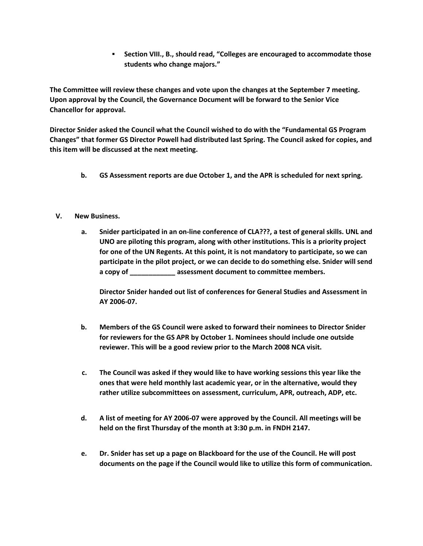**Section VIII., B., should read, "Colleges are encouraged to accommodate those students who change majors."**

**The Committee will review these changes and vote upon the changes at the September 7 meeting. Upon approval by the Council, the Governance Document will be forward to the Senior Vice Chancellor for approval.**

**Director Snider asked the Council what the Council wished to do with the "Fundamental GS Program Changes" that former GS Director Powell had distributed last Spring. The Council asked for copies, and this item will be discussed at the next meeting.**

- **b. GS Assessment reports are due October 1, and the APR is scheduled for next spring.**
- **V. New Business.**
	- **a. Snider participated in an on-line conference of CLA???, a test of general skills. UNL and UNO are piloting this program, along with other institutions. This is a priority project for one of the UN Regents. At this point, it is not mandatory to participate, so we can participate in the pilot project, or we can decide to do something else. Snider will send a copy of \_\_\_\_\_\_\_\_\_\_\_\_ assessment document to committee members.**

**Director Snider handed out list of conferences for General Studies and Assessment in AY 2006-07.**

- **b. Members of the GS Council were asked to forward their nominees to Director Snider for reviewers for the GS APR by October 1. Nominees should include one outside reviewer. This will be a good review prior to the March 2008 NCA visit.**
- **c. The Council was asked if they would like to have working sessions this year like the ones that were held monthly last academic year, or in the alternative, would they rather utilize subcommittees on assessment, curriculum, APR, outreach, ADP, etc.**
- **d. A list of meeting for AY 2006-07 were approved by the Council. All meetings will be held on the first Thursday of the month at 3:30 p.m. in FNDH 2147.**
- **e. Dr. Snider has set up a page on Blackboard for the use of the Council. He will post documents on the page if the Council would like to utilize this form of communication.**